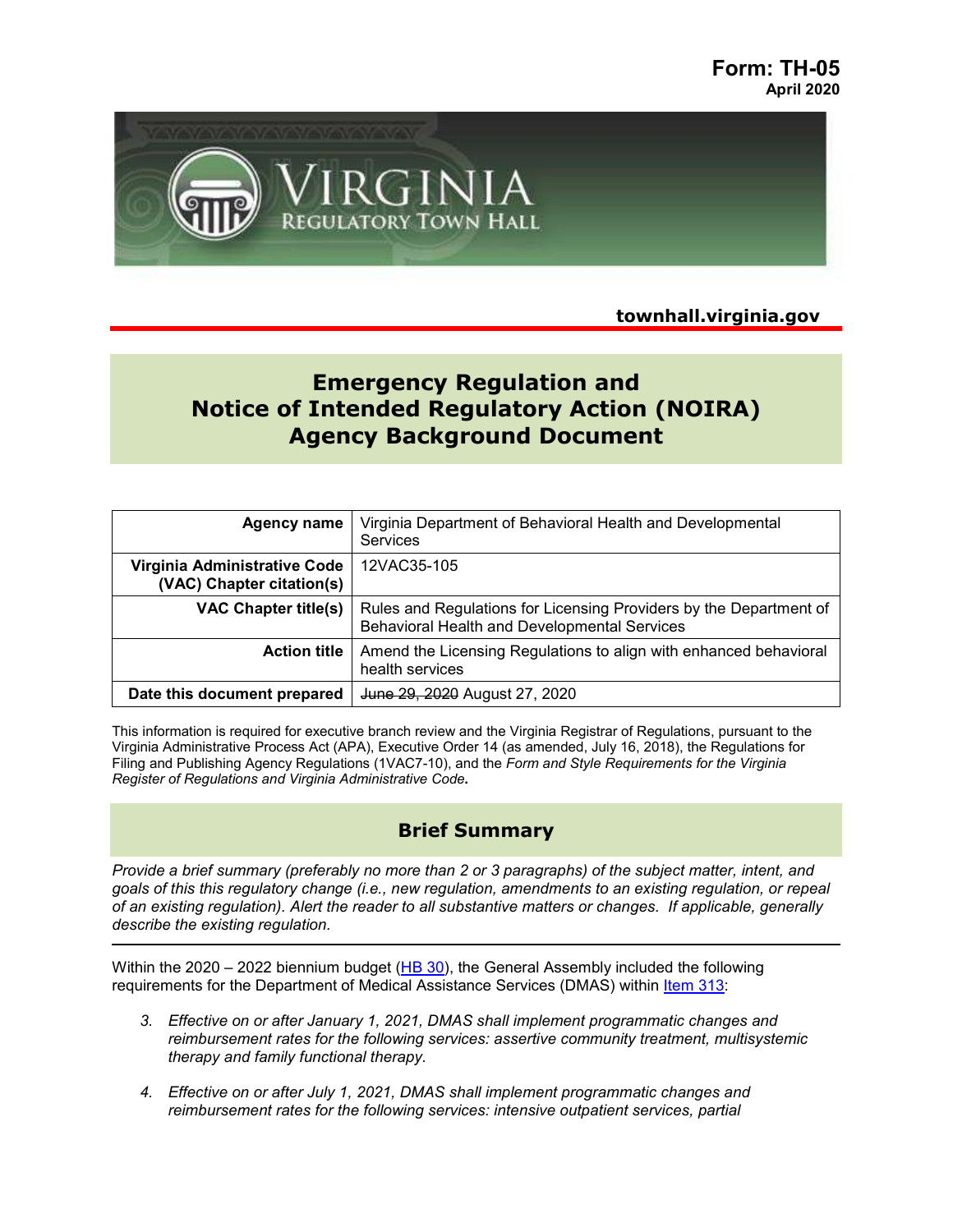

**townhall.virginia.gov**

# **Emergency Regulation and Notice of Intended Regulatory Action (NOIRA) Agency Background Document**

| <b>Agency name</b>                                        | Virginia Department of Behavioral Health and Developmental<br><b>Services</b>                                      |
|-----------------------------------------------------------|--------------------------------------------------------------------------------------------------------------------|
| Virginia Administrative Code<br>(VAC) Chapter citation(s) | 12VAC35-105                                                                                                        |
| <b>VAC Chapter title(s)</b>                               | Rules and Regulations for Licensing Providers by the Department of<br>Behavioral Health and Developmental Services |
| <b>Action title</b>                                       | Amend the Licensing Regulations to align with enhanced behavioral<br>health services                               |
| Date this document prepared                               | June 29, 2020 August 27, 2020                                                                                      |

This information is required for executive branch review and the Virginia Registrar of Regulations, pursuant to the Virginia Administrative Process Act (APA), Executive Order 14 (as amended, July 16, 2018), the Regulations for Filing and Publishing Agency Regulations (1VAC7-10), and the *Form and Style Requirements for the Virginia Register of Regulations and Virginia Administrative Code***.**

# **Brief Summary**

*Provide a brief summary (preferably no more than 2 or 3 paragraphs) of the subject matter, intent, and goals of this this regulatory change (i.e., new regulation, amendments to an existing regulation, or repeal of an existing regulation). Alert the reader to all substantive matters or changes. If applicable, generally describe the existing regulation.* 

Within the 2020 – 2022 biennium budget  $(HB 30)$  $(HB 30)$ , the General Assembly included the following requirements for the Department of Medical Assistance Services (DMAS) within [Item 313:](https://budget.lis.virginia.gov/item/2020/1/HB30/Introduced/1/313/department-of-behavioral-health-and-developmental-services/)

- *3. Effective on or after January 1, 2021, DMAS shall implement programmatic changes and reimbursement rates for the following services: assertive community treatment, multisystemic therapy and family functional therapy.*
- *4. Effective on or after July 1, 2021, DMAS shall implement programmatic changes and reimbursement rates for the following services: intensive outpatient services, partial*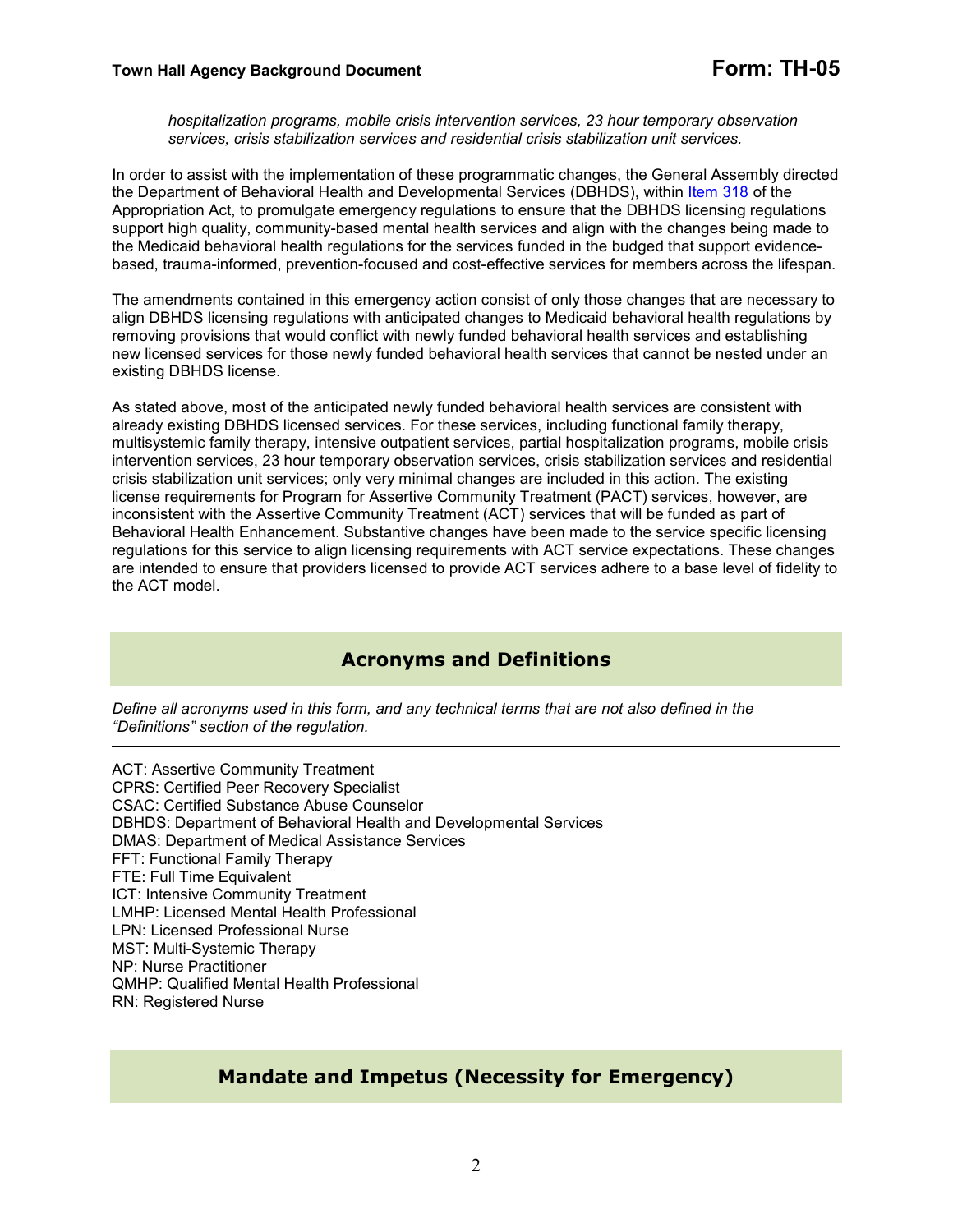*hospitalization programs, mobile crisis intervention services, 23 hour temporary observation services, crisis stabilization services and residential crisis stabilization unit services.* 

In order to assist with the implementation of these programmatic changes, the General Assembly directed the Department of Behavioral Health and Developmental Services (DBHDS), within [Item 318](https://budget.lis.virginia.gov/item/2020/1/HB30/Introduced/1/318/) of the Appropriation Act, to promulgate emergency regulations to ensure that the DBHDS licensing regulations support high quality, community-based mental health services and align with the changes being made to the Medicaid behavioral health regulations for the services funded in the budged that support evidencebased, trauma-informed, prevention-focused and cost-effective services for members across the lifespan.

The amendments contained in this emergency action consist of only those changes that are necessary to align DBHDS licensing regulations with anticipated changes to Medicaid behavioral health regulations by removing provisions that would conflict with newly funded behavioral health services and establishing new licensed services for those newly funded behavioral health services that cannot be nested under an existing DBHDS license.

As stated above, most of the anticipated newly funded behavioral health services are consistent with already existing DBHDS licensed services. For these services, including functional family therapy, multisystemic family therapy, intensive outpatient services, partial hospitalization programs, mobile crisis intervention services, 23 hour temporary observation services, crisis stabilization services and residential crisis stabilization unit services; only very minimal changes are included in this action. The existing license requirements for Program for Assertive Community Treatment (PACT) services, however, are inconsistent with the Assertive Community Treatment (ACT) services that will be funded as part of Behavioral Health Enhancement. Substantive changes have been made to the service specific licensing regulations for this service to align licensing requirements with ACT service expectations. These changes are intended to ensure that providers licensed to provide ACT services adhere to a base level of fidelity to the ACT model.

# **Acronyms and Definitions**

*Define all acronyms used in this form, and any technical terms that are not also defined in the "Definitions" section of the regulation.* 

ACT: Assertive Community Treatment CPRS: Certified Peer Recovery Specialist CSAC: Certified Substance Abuse Counselor DBHDS: Department of Behavioral Health and Developmental Services DMAS: Department of Medical Assistance Services FFT: Functional Family Therapy FTE: Full Time Equivalent ICT: Intensive Community Treatment LMHP: Licensed Mental Health Professional LPN: Licensed Professional Nurse MST: Multi-Systemic Therapy NP: Nurse Practitioner QMHP: Qualified Mental Health Professional RN: Registered Nurse

# **Mandate and Impetus (Necessity for Emergency)**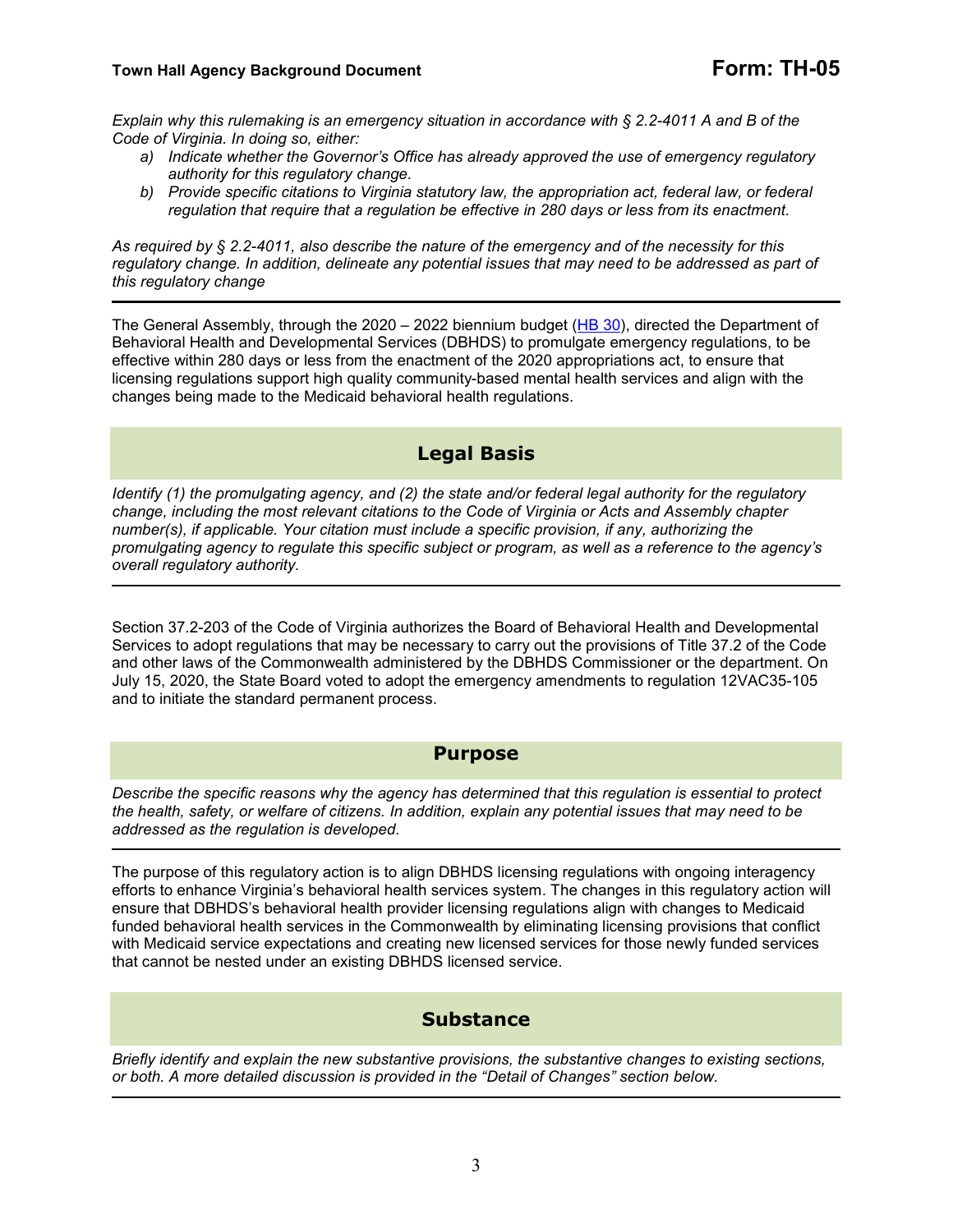*Explain why this rulemaking is an emergency situation in accordance with § 2.2-4011 A and B of the Code of Virginia. In doing so, either:* 

- *a) Indicate whether the Governor's Office has already approved the use of emergency regulatory authority for this regulatory change.*
- *b) Provide specific citations to Virginia statutory law, the appropriation act, federal law, or federal regulation that require that a regulation be effective in 280 days or less from its enactment.*

*As required by § 2.2-4011, also describe the nature of the emergency and of the necessity for this regulatory change. In addition, delineate any potential issues that may need to be addressed as part of this regulatory change*

The General Assembly, through the 2020 – 2022 biennium budget ([HB 30\)](https://budget.lis.virginia.gov/bill/2020/1/HB30/Introduced/), directed the Department of Behavioral Health and Developmental Services (DBHDS) to promulgate emergency regulations, to be effective within 280 days or less from the enactment of the 2020 appropriations act, to ensure that licensing regulations support high quality community-based mental health services and align with the changes being made to the Medicaid behavioral health regulations.

# **Legal Basis**

*Identify (1) the promulgating agency, and (2) the state and/or federal legal authority for the regulatory change, including the most relevant citations to the Code of Virginia or Acts and Assembly chapter number(s), if applicable. Your citation must include a specific provision, if any, authorizing the promulgating agency to regulate this specific subject or program, as well as a reference to the agency's overall regulatory authority.* 

Section 37.2-203 of the Code of Virginia authorizes the Board of Behavioral Health and Developmental Services to adopt regulations that may be necessary to carry out the provisions of Title 37.2 of the Code and other laws of the Commonwealth administered by the DBHDS Commissioner or the department. On July 15, 2020, the State Board voted to adopt the emergency amendments to regulation 12VAC35-105 and to initiate the standard permanent process.

#### **Purpose**

*Describe the specific reasons why the agency has determined that this regulation is essential to protect the health, safety, or welfare of citizens. In addition, explain any potential issues that may need to be addressed as the regulation is developed.*

The purpose of this regulatory action is to align DBHDS licensing regulations with ongoing interagency efforts to enhance Virginia's behavioral health services system. The changes in this regulatory action will ensure that DBHDS's behavioral health provider licensing regulations align with changes to Medicaid funded behavioral health services in the Commonwealth by eliminating licensing provisions that conflict with Medicaid service expectations and creating new licensed services for those newly funded services that cannot be nested under an existing DBHDS licensed service.

#### **Substance**

*Briefly identify and explain the new substantive provisions, the substantive changes to existing sections, or both. A more detailed discussion is provided in the "Detail of Changes" section below.*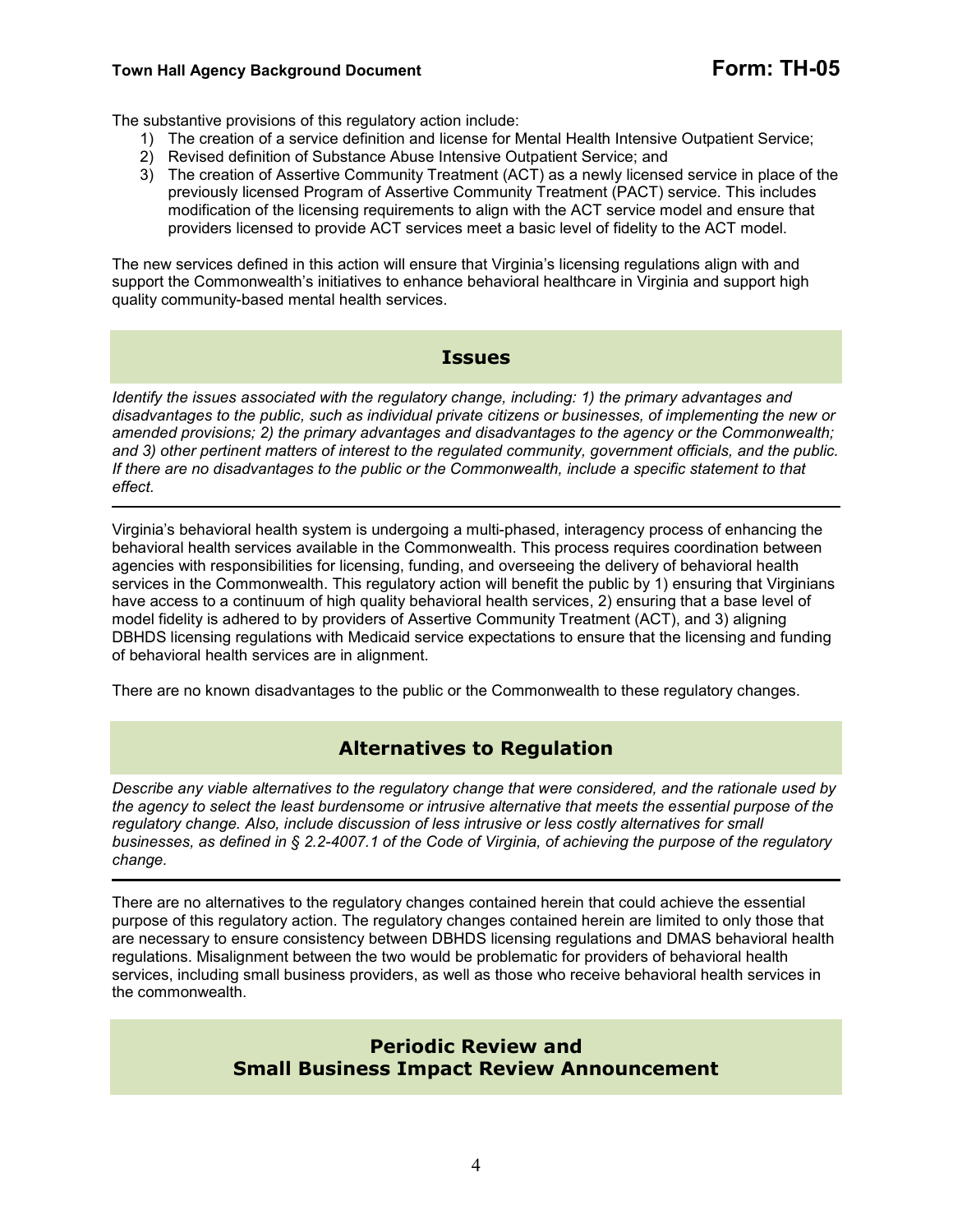#### **Town Hall Agency Background Document Form: TH-05**

The substantive provisions of this regulatory action include:

- 1) The creation of a service definition and license for Mental Health Intensive Outpatient Service;
- 2) Revised definition of Substance Abuse Intensive Outpatient Service; and
- 3) The creation of Assertive Community Treatment (ACT) as a newly licensed service in place of the previously licensed Program of Assertive Community Treatment (PACT) service. This includes modification of the licensing requirements to align with the ACT service model and ensure that providers licensed to provide ACT services meet a basic level of fidelity to the ACT model.

The new services defined in this action will ensure that Virginia's licensing regulations align with and support the Commonwealth's initiatives to enhance behavioral healthcare in Virginia and support high quality community-based mental health services.

#### **Issues**

*Identify the issues associated with the regulatory change, including: 1) the primary advantages and disadvantages to the public, such as individual private citizens or businesses, of implementing the new or amended provisions; 2) the primary advantages and disadvantages to the agency or the Commonwealth; and 3) other pertinent matters of interest to the regulated community, government officials, and the public. If there are no disadvantages to the public or the Commonwealth, include a specific statement to that effect.*  

Virginia's behavioral health system is undergoing a multi-phased, interagency process of enhancing the behavioral health services available in the Commonwealth. This process requires coordination between agencies with responsibilities for licensing, funding, and overseeing the delivery of behavioral health services in the Commonwealth. This regulatory action will benefit the public by 1) ensuring that Virginians have access to a continuum of high quality behavioral health services, 2) ensuring that a base level of model fidelity is adhered to by providers of Assertive Community Treatment (ACT), and 3) aligning DBHDS licensing regulations with Medicaid service expectations to ensure that the licensing and funding of behavioral health services are in alignment.

There are no known disadvantages to the public or the Commonwealth to these regulatory changes.

# **Alternatives to Regulation**

*Describe any viable alternatives to the regulatory change that were considered, and the rationale used by the agency to select the least burdensome or intrusive alternative that meets the essential purpose of the regulatory change. Also, include discussion of less intrusive or less costly alternatives for small businesses, as defined in § 2.2-4007.1 of the Code of Virginia, of achieving the purpose of the regulatory change.*  

There are no alternatives to the regulatory changes contained herein that could achieve the essential purpose of this regulatory action. The regulatory changes contained herein are limited to only those that are necessary to ensure consistency between DBHDS licensing regulations and DMAS behavioral health regulations. Misalignment between the two would be problematic for providers of behavioral health services, including small business providers, as well as those who receive behavioral health services in the commonwealth.

> **Periodic Review and Small Business Impact Review Announcement**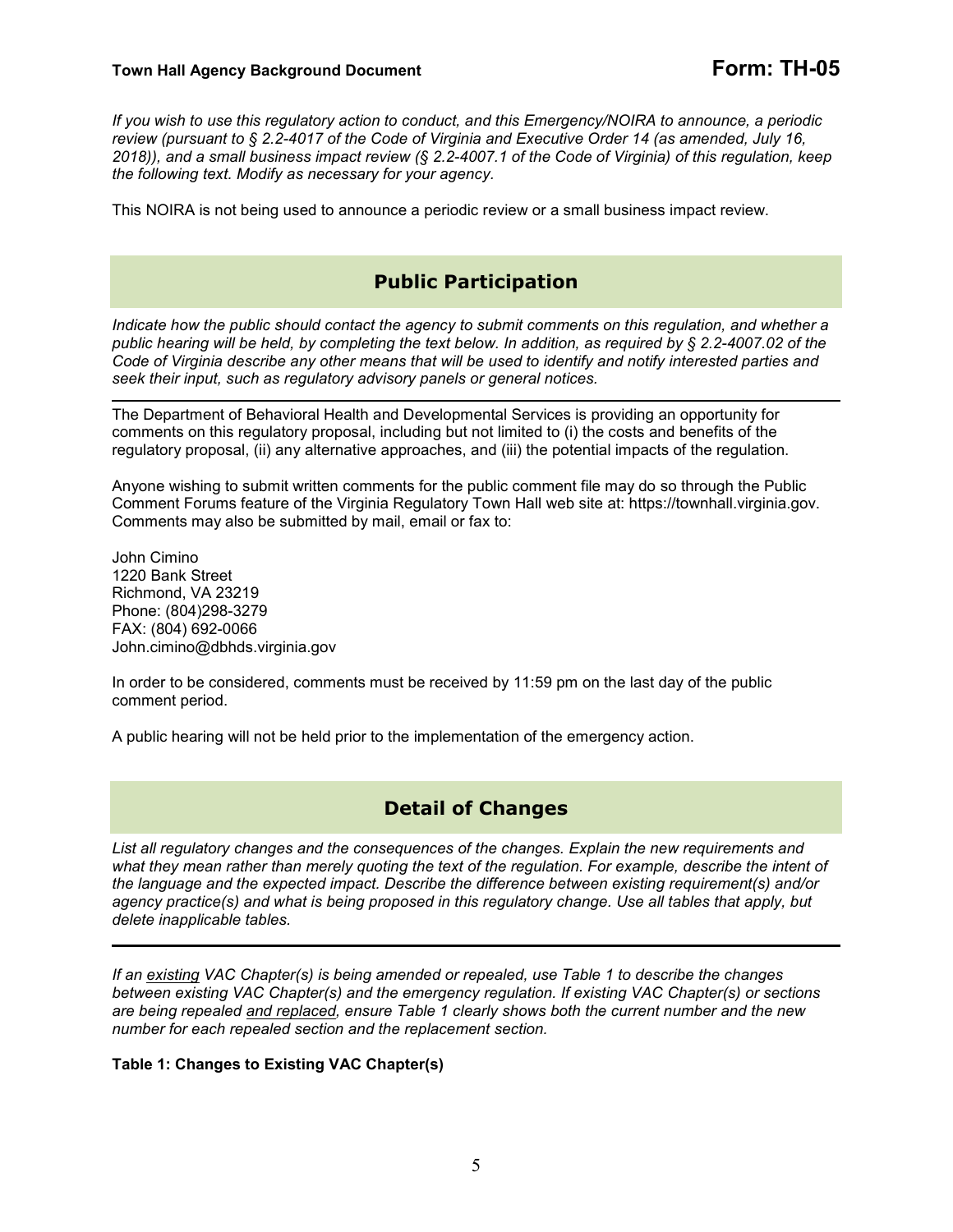*If you wish to use this regulatory action to conduct, and this Emergency/NOIRA to announce, a periodic review (pursuant to § 2.2-4017 of the Code of Virginia and Executive Order 14 (as amended, July 16, 2018)), and a small business impact review (§ 2.2-4007.1 of the Code of Virginia) of this regulation, keep the following text. Modify as necessary for your agency.* 

This NOIRA is not being used to announce a periodic review or a small business impact review.

# **Public Participation**

*Indicate how the public should contact the agency to submit comments on this regulation, and whether a public hearing will be held, by completing the text below. In addition, as required by § 2.2-4007.02 of the Code of Virginia describe any other means that will be used to identify and notify interested parties and seek their input, such as regulatory advisory panels or general notices.* 

The Department of Behavioral Health and Developmental Services is providing an opportunity for comments on this regulatory proposal, including but not limited to (i) the costs and benefits of the regulatory proposal, (ii) any alternative approaches, and (iii) the potential impacts of the regulation.

Anyone wishing to submit written comments for the public comment file may do so through the Public Comment Forums feature of the Virginia Regulatory Town Hall web site at: https://townhall.virginia.gov. Comments may also be submitted by mail, email or fax to:

John Cimino 1220 Bank Street Richmond, VA 23219 Phone: (804)298-3279 FAX: (804) 692-0066 John.cimino@dbhds.virginia.gov

In order to be considered, comments must be received by 11:59 pm on the last day of the public comment period.

A public hearing will not be held prior to the implementation of the emergency action.

# **Detail of Changes**

*List all regulatory changes and the consequences of the changes. Explain the new requirements and what they mean rather than merely quoting the text of the regulation. For example, describe the intent of the language and the expected impact. Describe the difference between existing requirement(s) and/or agency practice(s) and what is being proposed in this regulatory change. Use all tables that apply, but delete inapplicable tables.* 

*If an existing VAC Chapter(s) is being amended or repealed, use Table 1 to describe the changes between existing VAC Chapter(s) and the emergency regulation. If existing VAC Chapter(s) or sections are being repealed and replaced, ensure Table 1 clearly shows both the current number and the new number for each repealed section and the replacement section.* 

**Table 1: Changes to Existing VAC Chapter(s)**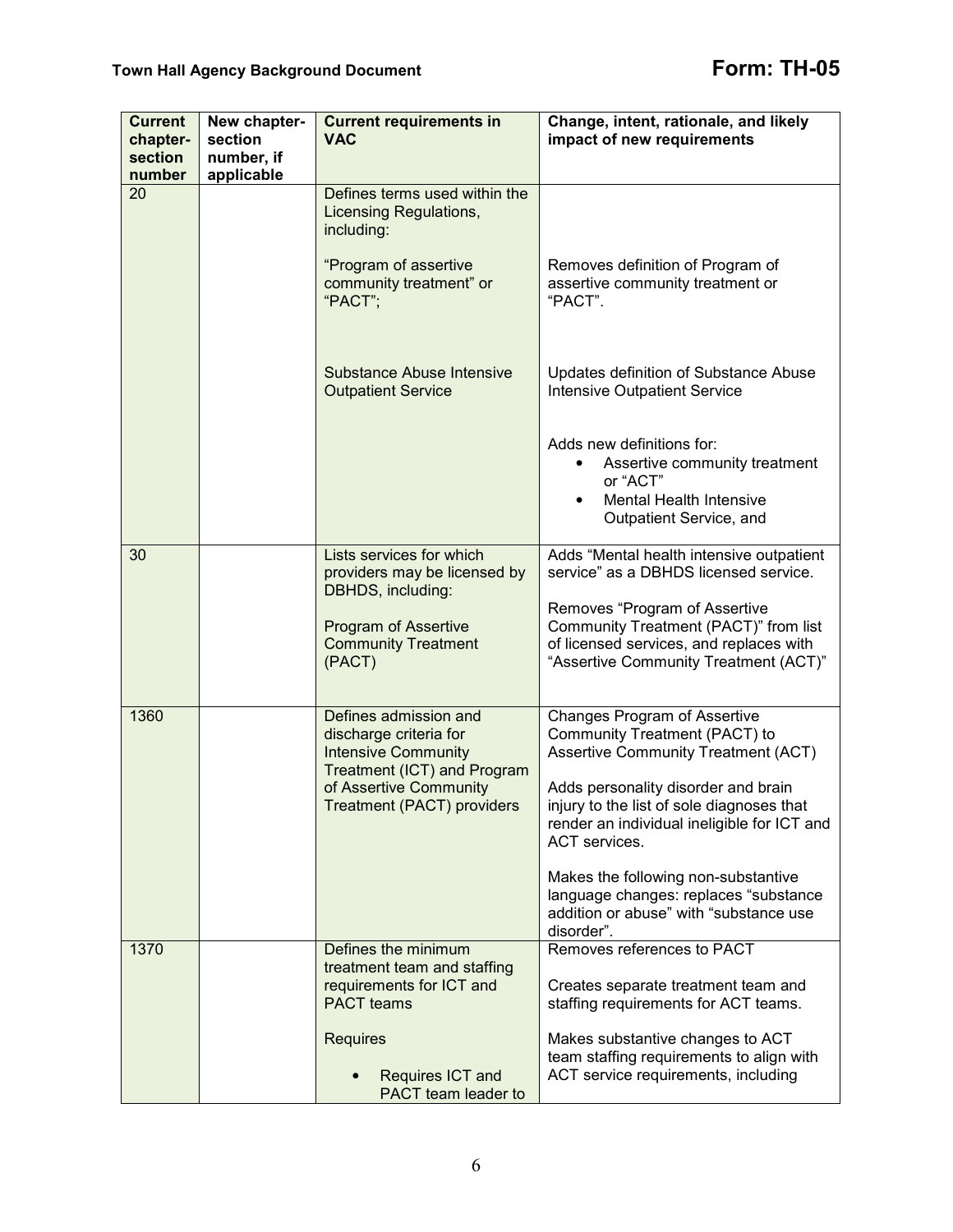| <b>Current</b><br>chapter-<br>section<br>number | New chapter-<br>section<br>number, if<br>applicable | <b>Current requirements in</b><br><b>VAC</b>                                                        | Change, intent, rationale, and likely<br>impact of new requirements                                                                                        |
|-------------------------------------------------|-----------------------------------------------------|-----------------------------------------------------------------------------------------------------|------------------------------------------------------------------------------------------------------------------------------------------------------------|
| 20                                              |                                                     | Defines terms used within the<br>Licensing Regulations,<br>including:                               |                                                                                                                                                            |
|                                                 |                                                     | "Program of assertive<br>community treatment" or<br>"PACT";                                         | Removes definition of Program of<br>assertive community treatment or<br>"PACT".                                                                            |
|                                                 |                                                     | Substance Abuse Intensive<br><b>Outpatient Service</b>                                              | Updates definition of Substance Abuse<br><b>Intensive Outpatient Service</b>                                                                               |
|                                                 |                                                     |                                                                                                     | Adds new definitions for:<br>Assertive community treatment<br>٠<br>or "ACT"<br><b>Mental Health Intensive</b><br>Outpatient Service, and                   |
| 30                                              |                                                     | Lists services for which<br>providers may be licensed by<br>DBHDS, including:                       | Adds "Mental health intensive outpatient<br>service" as a DBHDS licensed service.                                                                          |
|                                                 |                                                     | Program of Assertive<br><b>Community Treatment</b><br>(PACT)                                        | Removes "Program of Assertive<br>Community Treatment (PACT)" from list<br>of licensed services, and replaces with<br>"Assertive Community Treatment (ACT)" |
| 1360                                            |                                                     | Defines admission and<br>discharge criteria for<br><b>Intensive Community</b>                       | Changes Program of Assertive<br>Community Treatment (PACT) to<br>Assertive Community Treatment (ACT)                                                       |
|                                                 |                                                     | Treatment (ICT) and Program<br>of Assertive Community<br><b>Treatment (PACT) providers</b>          | Adds personality disorder and brain<br>injury to the list of sole diagnoses that<br>render an individual ineligible for ICT and<br>ACT services.           |
|                                                 |                                                     |                                                                                                     | Makes the following non-substantive<br>language changes: replaces "substance<br>addition or abuse" with "substance use<br>disorder".                       |
| 1370                                            |                                                     | Defines the minimum<br>treatment team and staffing<br>requirements for ICT and<br><b>PACT</b> teams | Removes references to PACT<br>Creates separate treatment team and<br>staffing requirements for ACT teams.                                                  |
|                                                 |                                                     | <b>Requires</b>                                                                                     | Makes substantive changes to ACT<br>team staffing requirements to align with                                                                               |
|                                                 |                                                     | Requires ICT and<br>PACT team leader to                                                             | ACT service requirements, including                                                                                                                        |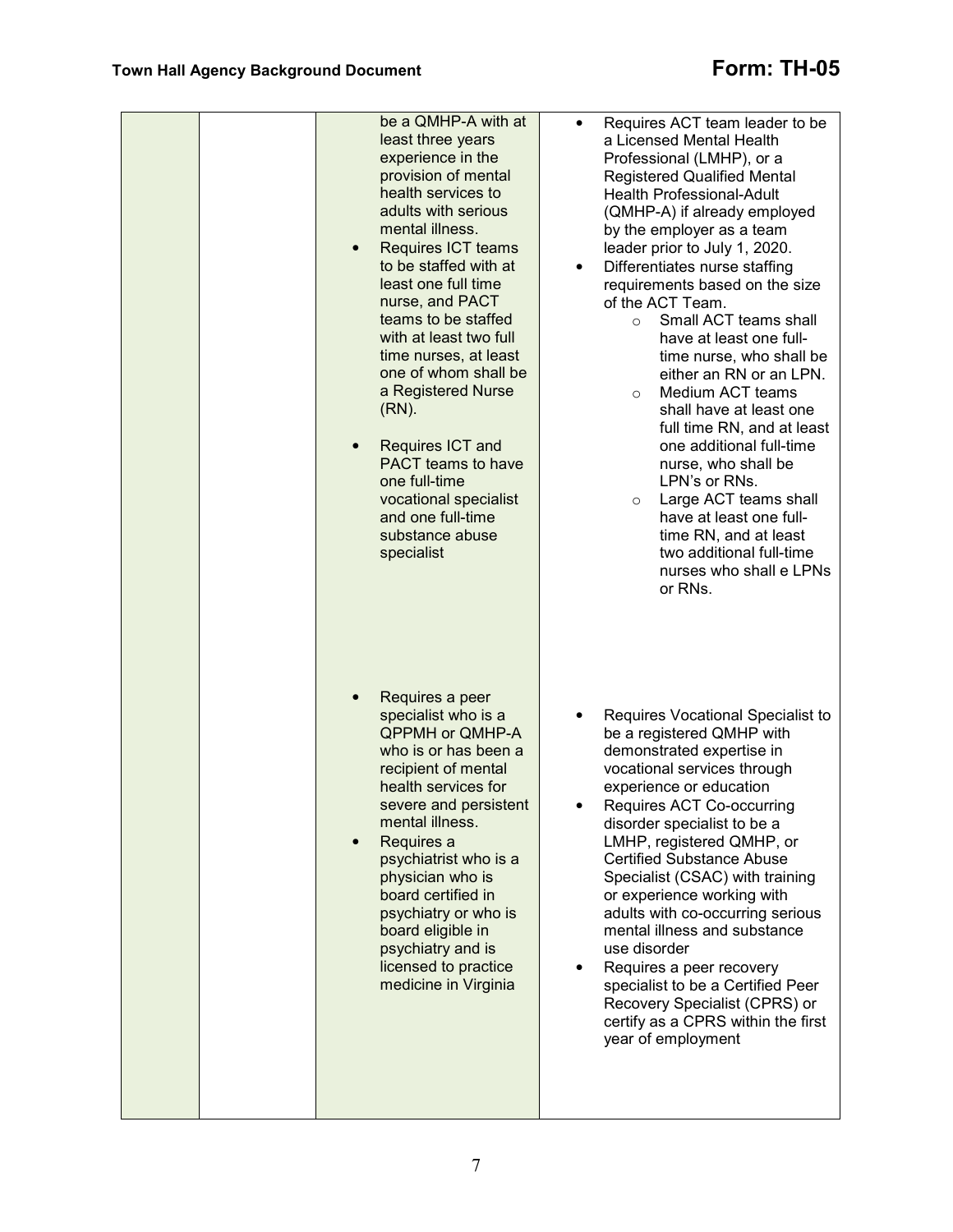| be a QMHP-A with at<br>least three years<br>experience in the<br>provision of mental<br>health services to<br>adults with serious<br>mental illness.<br>Requires ICT teams<br>to be staffed with at<br>least one full time<br>nurse, and PACT<br>teams to be staffed<br>with at least two full<br>time nurses, at least<br>one of whom shall be<br>a Registered Nurse<br>$(RN)$ .<br>Requires ICT and<br>$\bullet$<br><b>PACT</b> teams to have<br>one full-time<br>vocational specialist<br>and one full-time<br>substance abuse<br>specialist | Requires ACT team leader to be<br>a Licensed Mental Health<br>Professional (LMHP), or a<br><b>Registered Qualified Mental</b><br><b>Health Professional-Adult</b><br>(QMHP-A) if already employed<br>by the employer as a team<br>leader prior to July 1, 2020.<br>Differentiates nurse staffing<br>$\bullet$<br>requirements based on the size<br>of the ACT Team.<br>Small ACT teams shall<br>$\circ$<br>have at least one full-<br>time nurse, who shall be<br>either an RN or an LPN.<br>Medium ACT teams<br>$\circ$<br>shall have at least one<br>full time RN, and at least<br>one additional full-time<br>nurse, who shall be<br>LPN's or RNs.<br>Large ACT teams shall<br>$\circ$<br>have at least one full-<br>time RN, and at least<br>two additional full-time<br>nurses who shall e LPNs<br>or RNs. |
|-------------------------------------------------------------------------------------------------------------------------------------------------------------------------------------------------------------------------------------------------------------------------------------------------------------------------------------------------------------------------------------------------------------------------------------------------------------------------------------------------------------------------------------------------|-----------------------------------------------------------------------------------------------------------------------------------------------------------------------------------------------------------------------------------------------------------------------------------------------------------------------------------------------------------------------------------------------------------------------------------------------------------------------------------------------------------------------------------------------------------------------------------------------------------------------------------------------------------------------------------------------------------------------------------------------------------------------------------------------------------------|
| Requires a peer<br>specialist who is a<br><b>QPPMH or QMHP-A</b><br>who is or has been a<br>recipient of mental<br>health services for<br>severe and persistent<br>mental illness.<br>Requires a<br>psychiatrist who is a<br>physician who is<br>board certified in<br>psychiatry or who is<br>board eligible in<br>psychiatry and is<br>licensed to practice<br>medicine in Virginia                                                                                                                                                           | Requires Vocational Specialist to<br>٠<br>be a registered QMHP with<br>demonstrated expertise in<br>vocational services through<br>experience or education<br>Requires ACT Co-occurring<br>disorder specialist to be a<br>LMHP, registered QMHP, or<br><b>Certified Substance Abuse</b><br>Specialist (CSAC) with training<br>or experience working with<br>adults with co-occurring serious<br>mental illness and substance<br>use disorder<br>Requires a peer recovery<br>$\bullet$<br>specialist to be a Certified Peer<br>Recovery Specialist (CPRS) or<br>certify as a CPRS within the first<br>year of employment                                                                                                                                                                                         |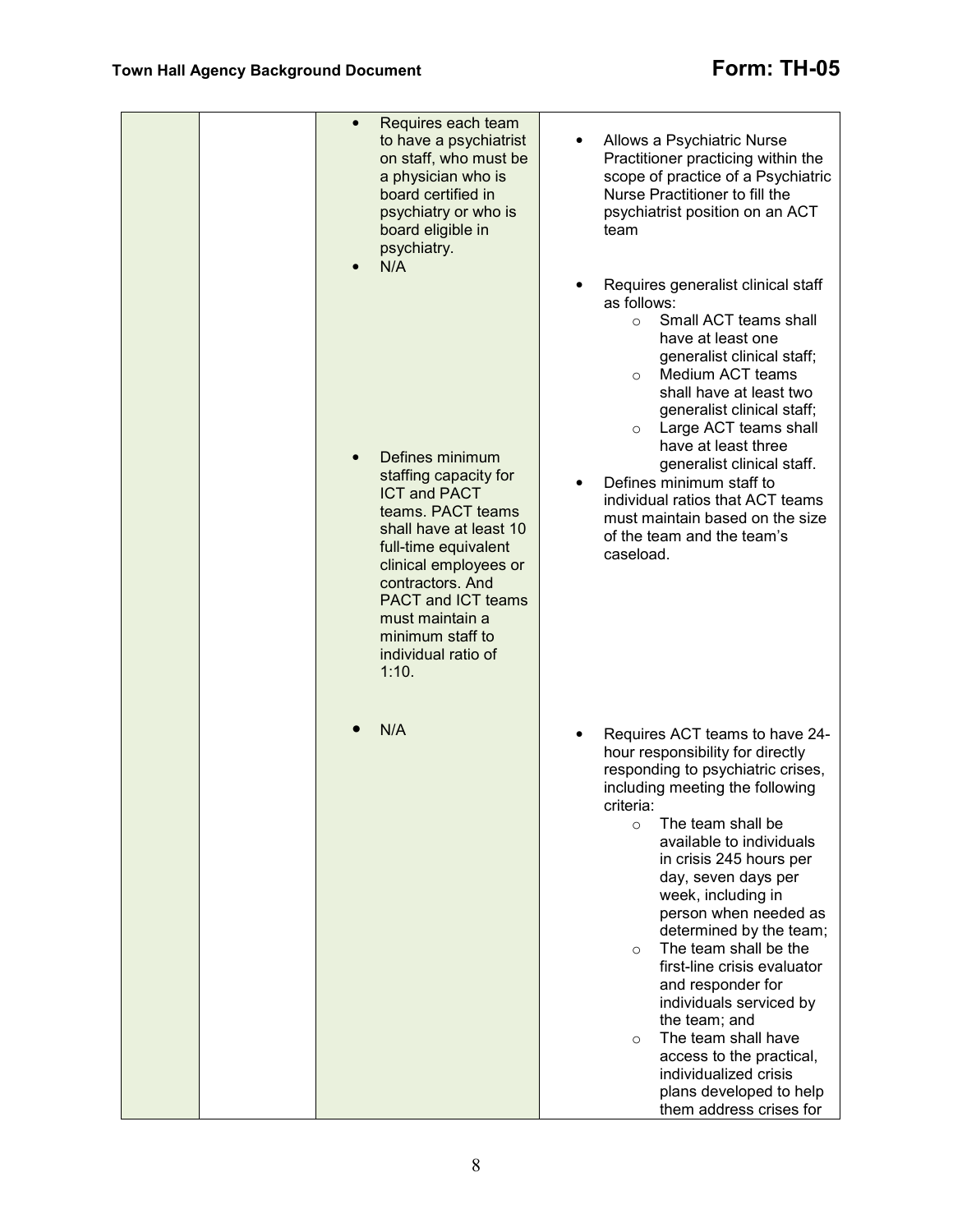|  | Requires each team<br>$\bullet$<br>to have a psychiatrist<br>on staff, who must be<br>a physician who is<br>board certified in<br>psychiatry or who is<br>board eligible in<br>psychiatry.<br>N/A                                                                                       | Allows a Psychiatric Nurse<br>Practitioner practicing within the<br>scope of practice of a Psychiatric<br>Nurse Practitioner to fill the<br>psychiatrist position on an ACT<br>team                                                                                                                                                                                                                                                                                                                                                                                                                                                           |
|--|-----------------------------------------------------------------------------------------------------------------------------------------------------------------------------------------------------------------------------------------------------------------------------------------|-----------------------------------------------------------------------------------------------------------------------------------------------------------------------------------------------------------------------------------------------------------------------------------------------------------------------------------------------------------------------------------------------------------------------------------------------------------------------------------------------------------------------------------------------------------------------------------------------------------------------------------------------|
|  |                                                                                                                                                                                                                                                                                         | Requires generalist clinical staff<br>as follows:<br>Small ACT teams shall<br>$\circ$<br>have at least one<br>generalist clinical staff;<br>Medium ACT teams<br>$\circ$<br>shall have at least two<br>generalist clinical staff;<br>Large ACT teams shall<br>$\circ$<br>have at least three                                                                                                                                                                                                                                                                                                                                                   |
|  | Defines minimum<br>staffing capacity for<br><b>ICT and PACT</b><br>teams. PACT teams<br>shall have at least 10<br>full-time equivalent<br>clinical employees or<br>contractors. And<br><b>PACT and ICT teams</b><br>must maintain a<br>minimum staff to<br>individual ratio of<br>1:10. | generalist clinical staff.<br>Defines minimum staff to<br>$\bullet$<br>individual ratios that ACT teams<br>must maintain based on the size<br>of the team and the team's<br>caseload.                                                                                                                                                                                                                                                                                                                                                                                                                                                         |
|  | N/A                                                                                                                                                                                                                                                                                     | Requires ACT teams to have 24-<br>$\bullet$<br>hour responsibility for directly<br>responding to psychiatric crises,<br>including meeting the following<br>criteria:<br>The team shall be<br>$\circ$<br>available to individuals<br>in crisis 245 hours per<br>day, seven days per<br>week, including in<br>person when needed as<br>determined by the team;<br>The team shall be the<br>$\circ$<br>first-line crisis evaluator<br>and responder for<br>individuals serviced by<br>the team; and<br>The team shall have<br>$\circ$<br>access to the practical,<br>individualized crisis<br>plans developed to help<br>them address crises for |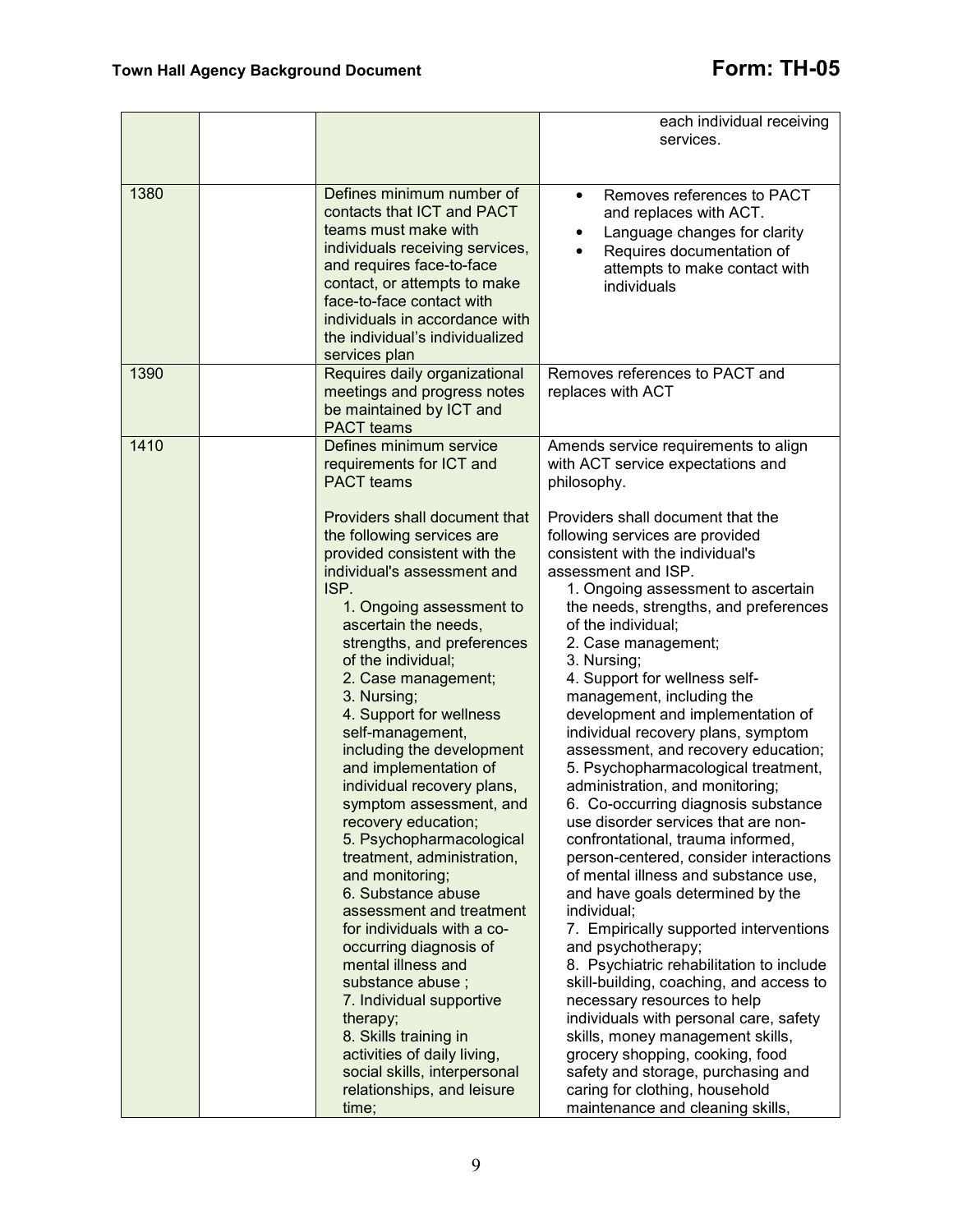|      |                                                                                                                                                                                                                                                                                                                                                                                                                                                                                                                                                                                                                                                                                                                                                                                                                                                                                                                                                            | each individual receiving<br>services.                                                                                                                                                                                                                                                                                                                                                                                                                                                                                                                                                                                                                                                                                                                                                                                                                                                                                                                                                                                                                                                                                                                                                                                                                                                                      |
|------|------------------------------------------------------------------------------------------------------------------------------------------------------------------------------------------------------------------------------------------------------------------------------------------------------------------------------------------------------------------------------------------------------------------------------------------------------------------------------------------------------------------------------------------------------------------------------------------------------------------------------------------------------------------------------------------------------------------------------------------------------------------------------------------------------------------------------------------------------------------------------------------------------------------------------------------------------------|-------------------------------------------------------------------------------------------------------------------------------------------------------------------------------------------------------------------------------------------------------------------------------------------------------------------------------------------------------------------------------------------------------------------------------------------------------------------------------------------------------------------------------------------------------------------------------------------------------------------------------------------------------------------------------------------------------------------------------------------------------------------------------------------------------------------------------------------------------------------------------------------------------------------------------------------------------------------------------------------------------------------------------------------------------------------------------------------------------------------------------------------------------------------------------------------------------------------------------------------------------------------------------------------------------------|
| 1380 | Defines minimum number of<br>contacts that ICT and PACT<br>teams must make with<br>individuals receiving services,<br>and requires face-to-face<br>contact, or attempts to make<br>face-to-face contact with<br>individuals in accordance with<br>the individual's individualized<br>services plan                                                                                                                                                                                                                                                                                                                                                                                                                                                                                                                                                                                                                                                         | Removes references to PACT<br>$\bullet$<br>and replaces with ACT.<br>Language changes for clarity<br>Requires documentation of<br>attempts to make contact with<br>individuals                                                                                                                                                                                                                                                                                                                                                                                                                                                                                                                                                                                                                                                                                                                                                                                                                                                                                                                                                                                                                                                                                                                              |
| 1390 | Requires daily organizational<br>meetings and progress notes<br>be maintained by ICT and<br><b>PACT</b> teams                                                                                                                                                                                                                                                                                                                                                                                                                                                                                                                                                                                                                                                                                                                                                                                                                                              | Removes references to PACT and<br>replaces with ACT                                                                                                                                                                                                                                                                                                                                                                                                                                                                                                                                                                                                                                                                                                                                                                                                                                                                                                                                                                                                                                                                                                                                                                                                                                                         |
| 1410 | Defines minimum service<br>requirements for ICT and<br><b>PACT</b> teams<br>Providers shall document that<br>the following services are<br>provided consistent with the<br>individual's assessment and<br>ISP.<br>1. Ongoing assessment to<br>ascertain the needs,<br>strengths, and preferences<br>of the individual;<br>2. Case management;<br>3. Nursing;<br>4. Support for wellness<br>self-management,<br>including the development<br>and implementation of<br>individual recovery plans,<br>symptom assessment, and<br>recovery education;<br>5. Psychopharmacological<br>treatment, administration,<br>and monitoring;<br>6. Substance abuse<br>assessment and treatment<br>for individuals with a co-<br>occurring diagnosis of<br>mental illness and<br>substance abuse ;<br>7. Individual supportive<br>therapy;<br>8. Skills training in<br>activities of daily living,<br>social skills, interpersonal<br>relationships, and leisure<br>time; | Amends service requirements to align<br>with ACT service expectations and<br>philosophy.<br>Providers shall document that the<br>following services are provided<br>consistent with the individual's<br>assessment and ISP.<br>1. Ongoing assessment to ascertain<br>the needs, strengths, and preferences<br>of the individual;<br>2. Case management;<br>3. Nursing;<br>4. Support for wellness self-<br>management, including the<br>development and implementation of<br>individual recovery plans, symptom<br>assessment, and recovery education;<br>5. Psychopharmacological treatment,<br>administration, and monitoring;<br>6. Co-occurring diagnosis substance<br>use disorder services that are non-<br>confrontational, trauma informed,<br>person-centered, consider interactions<br>of mental illness and substance use,<br>and have goals determined by the<br>individual;<br>7. Empirically supported interventions<br>and psychotherapy;<br>8. Psychiatric rehabilitation to include<br>skill-building, coaching, and access to<br>necessary resources to help<br>individuals with personal care, safety<br>skills, money management skills,<br>grocery shopping, cooking, food<br>safety and storage, purchasing and<br>caring for clothing, household<br>maintenance and cleaning skills, |